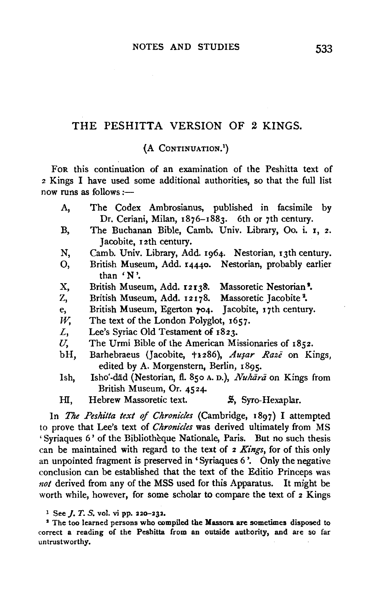## THE PESHITTA VERSION OF 2 KINGS.

## A CONTINUATION.<sup>1</sup>)

FoR this continuation of an examination of the Peshitta text of 2 Kings I have used some additional authorities, so that the full list now runs as follows  $:$   $-$ 

- A, The Codex Ambrosianus, published in facsimile by Dr. Ceriani, Milan, 1876-1883. 6th or 7th century.
- B, The Buchanan Bible, Camb. Univ. Library, Oo. i. 1, 2. Jacobite, 12th century.
- N, Camb. Univ. Library, Add. 1964. Nestorian, 13th century.
- 0, British Museum, Add. 14440. Nestorian, probably earlier than 'N '.
- X, British Museum, Add. 12138. Massoretic Nestorian<sup>2</sup>.
- Z, British Museum, Add. 12178. Massoretic Jacobite<sup>2</sup>.
- e, British Museum, Egerton 704. Jacobite, 17th century.
- 1¥, The text of the London Polyglot, 1657.
- L, Lee's Syriac Old Testament of 1823.
- $U,$ The Urmi Bible of the American Missionaries of 1852.
- bH, Barhebraeus (Jacobite, +1286), *Ausar Raze* on Kings, edited by A. Morgenstern, Berlin, 1895.
- Ish, Isho'-dad (Nestorian, fl. 85o A. o.), *Nuharii* on Kings from British Museum, Or. 4524-
- HI, Hebrew Massoretic text.  $\mathfrak{S}$ , Syro-Hexaplar.

In *The Peshitta text of Chronicles* (Cambridge, 1897) I attempted to prove that Lee's text of *Chronicles* was derived ultimately from MS ' Syriaques 6' of the Bibliothèque Nationale, Paris. But no such thesis can be maintained with regard to the text of 2 *Kings,* for of this only an unpointed fragment is preserved in 'Syriaques 6 '. Only the negative conclusion can be established that the text of the Editio Princeps was *not* derived from any of the MSS used for this Apparatus. It might be worth while, however, for some scholar to compare the text of 2 Kings

<sup>2</sup> The too learned persons who compiled the Massora are sometimes disposed to correct a reading of the Peshitta from an outside authority, and are so far untrustworthy.

 $1$  See *J. T. S.* vol. vi pp. 220-232.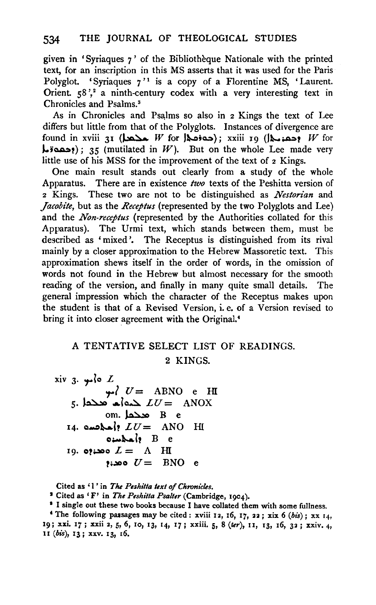given in 'Syriaques 7' of the Bibliotheque Nationale with the printed text, for an inscription in this MS asserts that it was used for the Paris Polyglot. 'Syriaques  $7'$ <sup>1</sup> is a copy of a Florentine MS, 'Laurent. Orient.  $58'$ , a ninth-century codex with a very interesting text in Chronicles and Psalms.8

As in Chronicles and Psalms so also in 2 Kings the text of Lee differs but little from that of the Polyglots. Instances of divergence are found in xviii 31 ( $W$  for  $\overline{X}$  for  $\overline{Y}$   $\overline{Y}$  and  $\overline{Y}$  for  $W$  for ڊ (بحمه); 35 (mutilated in W). But on the whole Lee made very little use of his MSS for the improvement of the text of 2 Kings.

One main result stands out clearly from a study of the whole Apparatus. There are in existence *two* texts of the Peshitta version of <sup>2</sup>Kings. These two are not to be distinguished as *Nestorian* and *Jacobite,* but as the *Receptus* (represented by the two Polyglots and Lee) and the *Non-receptus* (represented by the Authorities collated for this Apparatus). The Urmi text, which stands between them, must be described as 'mixed'. The Receptus is distinguished from its rival mainly by a closer approximation to the Hebrew Massoretic text. This approximation shews itself in the order of words, in the omission of words not found in the Hebrew but almost necessary for the smooth reading of the version, and finally in many quite small details. The general impression which the character of the Receptus makes upon the student is that of a Revised Version, i. e. of a Version revised to bring it into closer agreement with the Original.<sup>4</sup>

## A TENTATIVE SELECT LIST OF READINGS.

2 KINGS.

xiv 3. 
$$
\frac{1}{2}
$$
 to  $L$   
\n $\frac{1}{2}$   $U = ABNO$  e HI  
\n5.  $\frac{1}{2}$   $\frac{1}{2}$   $\frac{1}{2}$   $\frac{1}{2}$   $\frac{1}{2}$  S  
\n $\frac{1}{2}$  S  
\n14.  $\frac{1}{2}$  S  
\n15.  $\frac{1}{2}$  S  
\n16.  $\frac{1}{2}$  S  
\n17.  $\frac{1}{2}$  S  
\n18.  $\frac{1}{2}$  S  
\n19.  $\frac{1}{2}$  S  
\n10.  $\frac{1}{2}$  S  
\n11.  $\frac{1}{2}$  S  
\n12.  $\frac{1}{2}$  S  
\n13.  $\frac{1}{2}$  S  
\n14.  $\frac{1}{2}$  S  
\n15.  $\frac{1}{2}$  S  
\n16.  $\frac{1}{2}$  S  
\n17.  $\frac{1}{2}$  S  
\n18.  $\frac{1}{2}$  S  
\n19.  $\frac{1}{2}$  S  
\n10.  $\frac{1}{2}$  S  
\n11.  $\frac{1}{2}$  S  
\n12.  $\frac{1}{2}$  S  
\n13.  $\frac{1}{2}$  S  
\n14.  $\frac{1}{2}$  S  
\n15.  $\frac{1}{2}$  S  
\n16.  $\frac{1}{2}$  S  
\n17.  $\frac{1}{2}$  S  
\n18.  $\frac{1}{2}$  S  
\n19.  $\frac{1}{2}$  S  
\n10.  $\frac{1}{2}$  S  
\n11.  $\frac{1}{2}$  S  
\n12.  $\frac{1}{2}$  S  
\n13.  $\frac{1}{2}$  S  
\n14.  $\frac{1}{2}$  S  
\n15.  $\frac{1}{2}$  S  
\n16.  $\frac{1}{2}$  S  
\n17.  $\frac{1}{2}$  S  
\n18.  $\frac{1}{2}$  S  
\n19.  $\$ 

Cited as '1' in *The Peshitta text of Chronicles.*<br> **2** Cited as 'F' in *The Peshitta Psalter* (Cambridge, 1904).<br> **1** I single out these two books because I have collated them with some fullness.

'The following passages may be cited: xviii 12, 16, 17, 22; xix 6 (bis); xx 14, 19; xxi. 17; xxii 2, 5, 6, 10, 13, 14, 17; xxiii. 5, 8 (ter), 11, 13, 16, 32; xxiv. 4, 11 *(bis)*, 13; xxv. 13, 16.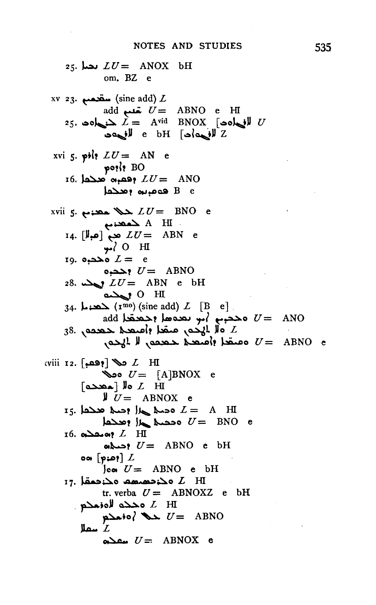25. نحما  $LU = ANOX$  bH om. BZ e  $xv$  23. متخمم (sine add)  $L$ add and  $U =$  ABNO e HI<br>25.  $\log \sum L =$  Avid BNOX  $\log U$ partie bH [plant] Z xvi 5. pil?  $LU = AN$  e porle BO 16. بعمبه محكما $LU = ANO$  $B$  و $B$ ماريو المحمد xvii 5. المحدوم  $LU = BNO$  e  $A$   $H$ 14.  $[U = LU = ABN$  e  $\sim$  0 HI 19.  $\lambda = L = e$ احدا و $U = ABNO$ 28.  $LU = ABN$  e bH O HI ويحده 34.  $\Delta$  ( $\mathbf{r}^{\mathbf{m}\mathbf{o}}$ ) (sine add)  $L$  [B e]. add add الحجام أمو تعددها الجعنقة add  $38.$   $\sqrt{38}$   $\sqrt{38}$   $\sqrt{38}$   $\sqrt{28}$ ومتعد المعدى معدد المحمد المحمد بعد المحمد المحمد العام المحمد العام المحمد العام العام العام العام ا (viii 12.  $\left[\frac{2a}{3a}\right]$   $\mathcal{L}$  HI ەمە $U = \begin{bmatrix} A \end{bmatrix}$  BNOX e  $\lceil \texttt{max} \rceil$  denote  $L$  . Hence  $U = ABNOX$  e 15. A  $H$  3cm  $\log \log L = A$  HI وحديد الصلاح وحديث الصلاح وصلاح المسلم و $U = BNO$  e  $16.$  مصحده  $L$  HI احمد)  $U = ABNO$  e  $bH$  $\circ \circ \text{[pair]}$   $L$  $\int$ oo  $U =$  ABNO e bH  $_{17.}$  محاجمهه محاجمة  $L$  HI tr. verba  $U = ABNOXZ$  e ын  $\mathcal{L}$  a a  $\mathcal{L}$  and  $\mathcal{L}$  HI  $\mu\rightarrow 0$   $\rightarrow U =$  ABNO لا سفلا معده  $U = ABNOX$  e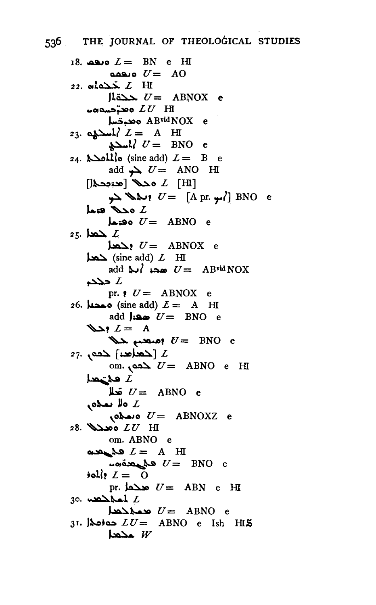```
I^8. دیکھ L = BN e HI
       ەبھمە U= AO
22. \alphaحدداه ـ22.
       U = ABNOXe
   ەھەدىيەLU HI
       ABridNOX e
23. المحلابه\lambda L = A HI
       لمحليl' U = BNO e
24. المحكمl: (sine add) L = B eadd \rightarrow U = ANO HI
   [|A \rightarrow B] \Delta A [H]بلىلا لىكو U = [A \text{ pr. } \psi] \text{ BNO} e
   مد الله عليه LەقتىماU = ABNO e
25. استLبحصاب U = ABNOX e
   \angle (sine add) L HI
       add \bigcup and U = AB^{\text{vid}} NOX
   لا حلاحہ
       pr. U = ABNOX e
26. محصد (sine add) L = A HI
       add U = BNO e
   د L = Aامتعنا به U = BNO e
27. \Delta \Delta \Delta \Delta \Deltaom. کھیU = ABNO e HI
   لعم<u>ت</u>ه د
       قعال U = A BNO e
   \mathcal{L} of using
       رماده U = ABNOXZ e
28. \sum_{\omega} LU HI
       om. ABNO e
   \cos \theta = \sin \theta e
   ioll: L = 0pr. معدد U = ABN e HI30. walked LU = ABNOe
31. مدفعهLU = ABNO e Ish HIS
       محمد W
```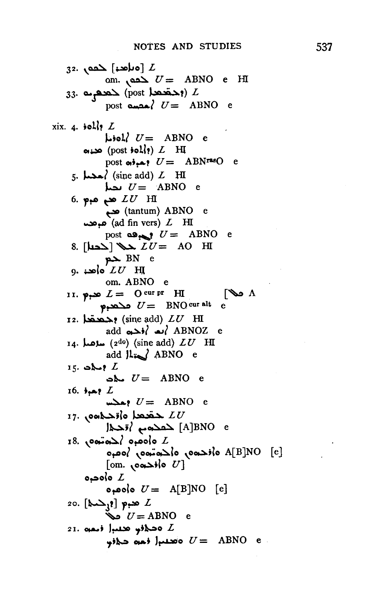32. ماهد $[$  ماهد $L$ om. حمد  $U = ABNO$  $e$  HI 33. محقود (post **Lead**)  $L$ post مصمه  $U = A B N O$  $-e$ xix. 4. solly  $L$ اه $U =$  ABNO e out jol{?)  $L$  HI post العبوفي  $U = ABN^{\text{ras}}O$  e 5. العضل (sine add)  $L$  HI نحىل  $U = \text{ABNO}$  $-e$ 6. مع مو $LU$  HI tantum) ABNO e) صم موهما) ad fin vers)  $L$  HI post  $Q \rightarrow Q$   $U = ABNO$  e 8. [حدا  $LU = AO$  HI **BN** e 9. ماھد $\iota U$  HI om. ABNO e 11.  $p \leftrightarrow L = 0$  cur pr HI ۸ می  $U = BNO<sup>cur alt</sup> e$ 12. الجمعقد (sine add)  $LU$  HI add **(معد)**  $\{A\}$ ABNOZ e 14. مارهما $(2^{do})$  (sine add)  $LU$  HI add  $\lvert \text{lim} \rvert$  ABNO e ا جماد  $L$ ملات  $U = A$  BNO  $e$ 16.  $\lambda \rightarrow 2$ محمد  $U = ABNO$  e 17.  $\circ \circ \circ \circ \circ \circ \circ \circ \circ \circ L$ اقحاد [A]BNO e 18.  $\cos \Delta$  end  $L$ oموه) مانحمی الحدیث من معموم (ox[B]NO  $[om. \cos\delta]$ ەمدې $\mathcal{L}% _{ij}^{(k)}\left( \mathcal{N}_{i}\right)$  د ەمبە $U = A[B]NO$  [e] 20.  $\left[\mathbf{A}\mathbf{\Delta}\mathbf{B}\right]$  مدوم  $L$ **O**  $U = ABNO$  e 21. دهانو هندرا نيمو $L$ وأعدد التعليم السلم وجدافي  $U = \text{ABNO}$  e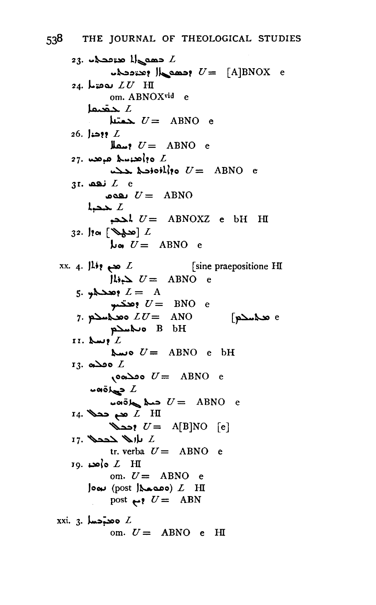23.  $\epsilon$   $\lambda$   $\alpha$   $\alpha$   $\beta$   $\beta$   $\alpha$   $\alpha$   $\beta$   $\beta$   $\alpha$  $U = [A] B N O X$  وهمهها المحتود ، يەدتىل  $LU$  HI om. ABNOXvid e لمقدما $L$  $U = ABNO$ e 26. إبحنا  $L$ سمال $U = ABNO$  e 27. used Autolio  $L$ المؤدية العلم العلم العلم  $U =$  ABNO e  $3I.$ نهم  $L$  e ىعەم $U = ABNO$ لا حديد L جدم  $U = ABNOXZ$  e  $bH$  HI 32. إ $\omega$   $\Delta\omega$   $L$  $\log U = ABNO$  e xx. 4.  $\mathcal{L}$   $\mathcal{L}$ [sine praepositione HI  $J\rightarrow U = A BNO$  e 5.  $y \triangle 30$   $L = A$ وهكىبو  $U = BNO$  e 7. parado  $LU = ANO$ e **محاسلتو**] B bH II. Awy  $L$ هسه  $U = ABNO$  e bH دهه  $L$ ەملەرەر $U = ABNO$  e ن می $\lambda$ ه  $L$  $\sim$ ه  $U = ABNO$  e  $I$ 4. مم حد  $L$  HI وحد  $U = A[B]NO [e]$  $17.$   $\triangle$   $\triangle$   $\triangle$   $\triangle$   $L$ tr. verba  $U = ABNO$  e  $19.$  ہ $\delta$ ھد $L$  HI om.  $U = ABNO$  e  $\log$  (post  $\lambda$  ) (post )  $L$  HI post  $U = ABN$ xxi. 3.  $\lambda$ o  $\lambda$ om.  $U =$  ABNO e HI

538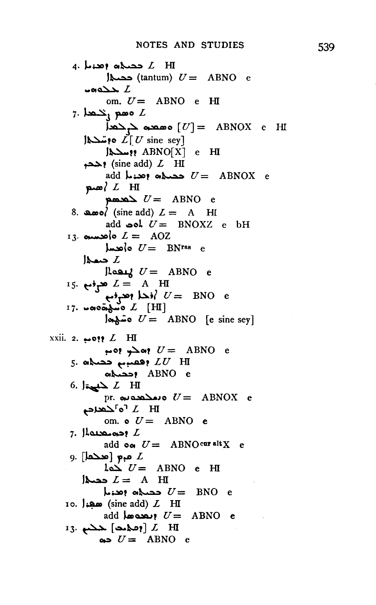4.  $\lambda$  حصله إهدام 4. د ده $\Delta$ ه د $L$ om.  $U = ABNO$  e HI  $7.$  معم $\chi$  معم $L$ معده حبكهدا $[U] = \text{ABNOX}$  و HI اتم التحکال) او است $L[U]$  sine sey  $A BNO[X]$ e HI جحم (sine add)  $L$  HI add **bick** called a call  $U = ABNOX$  c صم $\angle L$  HI  $V = ABNO$  e 8. as  $\circ$  (sine add)  $L = A$  HI add **ool**  $U = BNOXZ$  e bH 13.  $\omega \approx 0$   $L = \text{AOZ}$  $\lambda \sim \in U = \text{BN}^{\text{ras}}$  e لا حتمة (  $\mu$ الدهما $U = ABNO$  e  $I_5$ . مې $L = A$  HI فط بعم في  $U = \text{BNO}$  و $U = \text{B}$  $17.$  unosiguo  $L$  [H]  $J\rightarrow\rightarrow V = A B N O$  [e sine sey] xxii. 2.  $\leftrightarrow$  0!!  $L$  HI الله به الله به الله بن  $U = \text{ABNO}$  e 5. محمد حصله  $LU$  HI **ABNO** e  $6.$  أَمْرَ  $L$  HI pr. مىمكى  $U = A\text{BNOX}$  و $\epsilon$  $L$   $L$   $L$   $H$ om.  $\circ$   $U =$  ABNO  $\circ$  $7.$  احمىعىنە $L$ add oo  $U =$  ABNO cur alt X e 9. [مبو $\mathbf{z}$  مبو $L$  $l \triangle \bigcirc U =$  ABNO e HI حمدا $L = A$  HI حصله بعنا $U = BNO$  e ro. العجز (sine add)  $L$  HI add **Andrew** ? المعدد و  $U = A$ BNO e  $\mathbf{13.}$ ومجامع  $\mathbf{L}$  HI جو $U = A$  BNO  $e$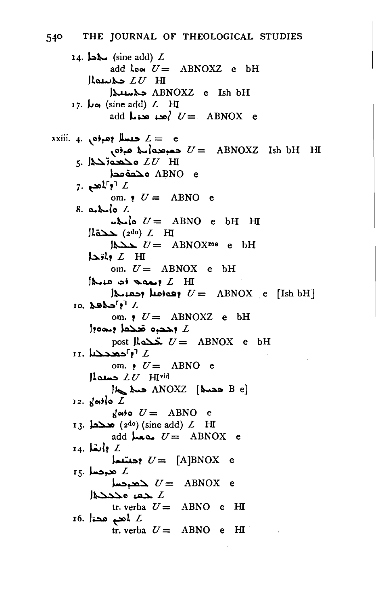14.  $\mathbf{A}$  (sine add)  $L$ add Loo  $U =$  ABNOXZ e bH المسا*لا*ت  $LU$  HI ABNOXZ e Ish bH 17. Les (sine add)  $L$  HI add  $\log$   $U =$  ABNOX e xxiii. 4.  $\cos \theta$   $L = e$ مبنه مبنه  $U = A$  ABNOXZ Ish bH HI 5. A  $\lambda$  $\lambda$  $\lambda$  $\lambda$  $\lambda$   $\lambda$   $\lambda$   $U$   $\lambda$   $\mu$ ABNO e محمةمدا 7.  $\epsilon^{2}$ ە $\epsilon^{1}$   $L$ om.  $U = ABNO$  e 8.  $a \sim b$  o  $L$  $\mathcal{L}$  o  $U =$  ABNO e bH HI  $\lambda \in (2^{do})$   $L$  HI  $U = ABNOX^{ras}$  e bH ا L بلانحا $L$  HI om.  $U =$  ABNOX e bH  $\mathbf{L}$  +  $\mathbf{L}$  +  $\mathbf{L}$  +  $\mathbf{H}$ إقدام العبد العبد العبد العبد التي العبد التي التي  $U = ABNOX$  وقد العبد المجموع التي التي التي التي ال  $\mathbf{I}$ ه محلاها  $L$ om.  $U = ABNOXZ$  e bH إحداه تعددا الله post  $\mathcal{L}$  =  $U =$  ABNOX e bH  $\mathbf{I}$ ، بادهدها $L$ om.  $U = ABNO$  e السه $LU$  HIvid  $\downarrow$ ه هجمه $\text{ANOXZ}$   $\downarrow$  and  $\text{B}$  e] 12.  $\sqrt{q}$ oi $\sqrt{q}$   $L$  $g \circ \phi \circ U = ABNO$  e r3. محجعة (2<sup>do</sup>) (sine add)  $L$  HI add  $U = ABNOX$  e  $14.$  الغا $L$ جمتنما;  $U = [A]BNOX$  e  $\mathbf{r}_5$ . مدوسا  $U = ABNOX$ e ا حمه  $\mathcal{L}$  حمد  $L$ tr. verba  $U = ABNO$  e HI  $\mathbf{r}$ هم محۃ $\mathbf{r}$ ،  $L$ tr. verba  $U = ABNO$  e HI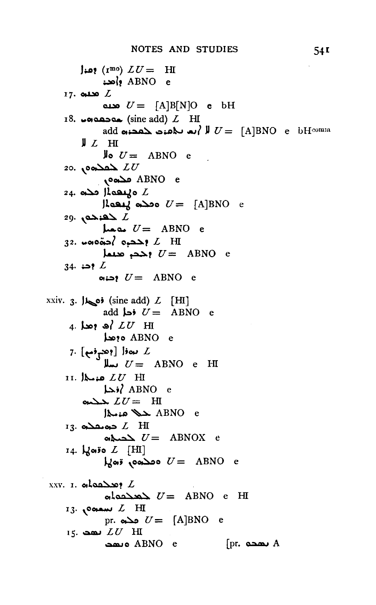اعه)  $LU = \text{H}$ اهد: ABNO e 17. منده $L$ مىلە  $U = [A]B[N]O$  e bH  $18.$   $\omega$ 924 (sine add)  $L$  HI JLHI  $\sqrt{U} = A B N O e$ 20. نهكمو $LU$ رەمى  $\Delta\text{BNO}$   $\,$  e  $24.$  مصدال محم $L$  $\lambda$ ا دهدم بنده (A)BNO e 29. دهنهه $L$ معمد $U = ABNO$  e  $32.$   $\omega$ ە $\omega$ ە  $L$  HI جمع معدم  $U = ABNO$  e 34. بحة  $L$ احنو $U = ABNO$  e xxiv. 3.  $\log o$  (sine add)  $L$  [HI] add is  $U = ABNO$  e 4. ا $U$  /ه  $\ell U$  and  $\ell$ ه ABNO e  $7.$  لِمَاذَ  $[2.2, 1.7]$  لِمَاذِ  $L$  $U = ABNO e HI$  $II.$  منكل  $LU$  HI  $\frac{1}{2}$ وندا $\frac{1}{2}$  ABNO e  $LU = HI$ ABNO e  $13.$  حمده  $L$  HI الحمله  $U = ABNOX$  e 14. Kaio  $L$  [HI]  $\mathcal{U}$ ە دەكەن  $U = A$ BNO e  $xxy$ . 1.  $\alpha$ las $\Delta x$ )  $L$  $U = ABNO$  e HI  $13.$   $\sqrt{00}$   $L$   $H$ pr. محمد  $U = [A] BNO$  e ، نهد $LU$  HI o ABNO e مسمد  $\lceil pr.$  مهجه A